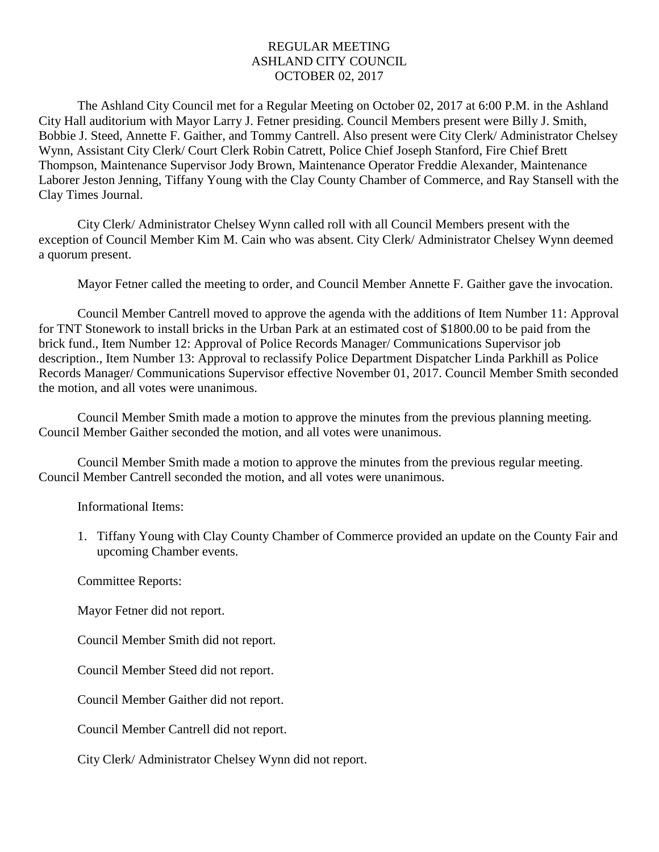## REGULAR MEETING ASHLAND CITY COUNCIL OCTOBER 02, 2017

The Ashland City Council met for a Regular Meeting on October 02, 2017 at 6:00 P.M. in the Ashland City Hall auditorium with Mayor Larry J. Fetner presiding. Council Members present were Billy J. Smith, Bobbie J. Steed, Annette F. Gaither, and Tommy Cantrell. Also present were City Clerk/ Administrator Chelsey Wynn, Assistant City Clerk/ Court Clerk Robin Catrett, Police Chief Joseph Stanford, Fire Chief Brett Thompson, Maintenance Supervisor Jody Brown, Maintenance Operator Freddie Alexander, Maintenance Laborer Jeston Jenning, Tiffany Young with the Clay County Chamber of Commerce, and Ray Stansell with the Clay Times Journal.

City Clerk/ Administrator Chelsey Wynn called roll with all Council Members present with the exception of Council Member Kim M. Cain who was absent. City Clerk/ Administrator Chelsey Wynn deemed a quorum present.

Mayor Fetner called the meeting to order, and Council Member Annette F. Gaither gave the invocation.

Council Member Cantrell moved to approve the agenda with the additions of Item Number 11: Approval for TNT Stonework to install bricks in the Urban Park at an estimated cost of \$1800.00 to be paid from the brick fund., Item Number 12: Approval of Police Records Manager/ Communications Supervisor job description., Item Number 13: Approval to reclassify Police Department Dispatcher Linda Parkhill as Police Records Manager/ Communications Supervisor effective November 01, 2017. Council Member Smith seconded the motion, and all votes were unanimous.

Council Member Smith made a motion to approve the minutes from the previous planning meeting. Council Member Gaither seconded the motion, and all votes were unanimous.

Council Member Smith made a motion to approve the minutes from the previous regular meeting. Council Member Cantrell seconded the motion, and all votes were unanimous.

Informational Items:

1. Tiffany Young with Clay County Chamber of Commerce provided an update on the County Fair and upcoming Chamber events.

Committee Reports:

Mayor Fetner did not report.

Council Member Smith did not report.

Council Member Steed did not report.

Council Member Gaither did not report.

Council Member Cantrell did not report.

City Clerk/ Administrator Chelsey Wynn did not report.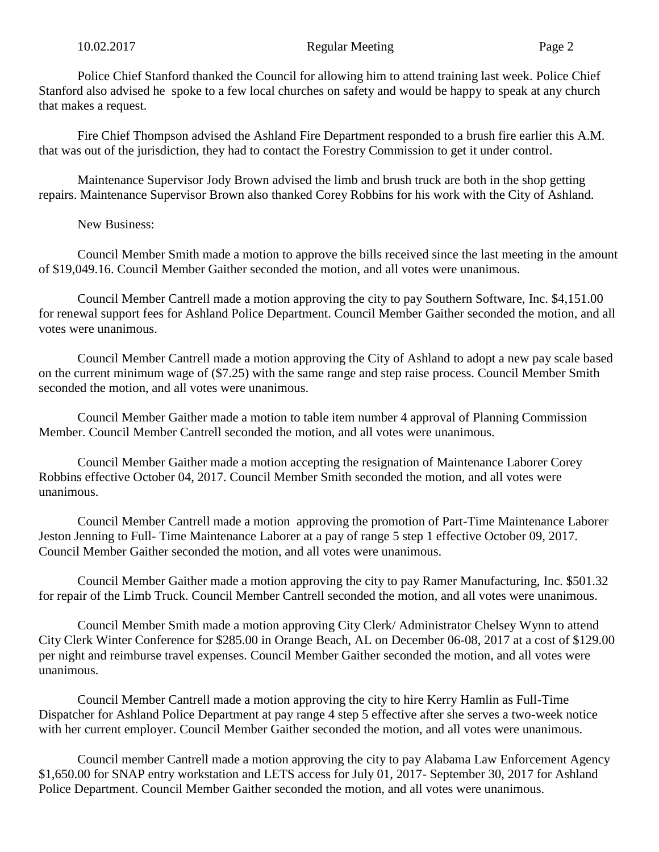Police Chief Stanford thanked the Council for allowing him to attend training last week. Police Chief Stanford also advised he spoke to a few local churches on safety and would be happy to speak at any church that makes a request.

Fire Chief Thompson advised the Ashland Fire Department responded to a brush fire earlier this A.M. that was out of the jurisdiction, they had to contact the Forestry Commission to get it under control.

Maintenance Supervisor Jody Brown advised the limb and brush truck are both in the shop getting repairs. Maintenance Supervisor Brown also thanked Corey Robbins for his work with the City of Ashland.

## New Business:

Council Member Smith made a motion to approve the bills received since the last meeting in the amount of \$19,049.16. Council Member Gaither seconded the motion, and all votes were unanimous.

Council Member Cantrell made a motion approving the city to pay Southern Software, Inc. \$4,151.00 for renewal support fees for Ashland Police Department. Council Member Gaither seconded the motion, and all votes were unanimous.

Council Member Cantrell made a motion approving the City of Ashland to adopt a new pay scale based on the current minimum wage of (\$7.25) with the same range and step raise process. Council Member Smith seconded the motion, and all votes were unanimous.

Council Member Gaither made a motion to table item number 4 approval of Planning Commission Member. Council Member Cantrell seconded the motion, and all votes were unanimous.

Council Member Gaither made a motion accepting the resignation of Maintenance Laborer Corey Robbins effective October 04, 2017. Council Member Smith seconded the motion, and all votes were unanimous.

Council Member Cantrell made a motion approving the promotion of Part-Time Maintenance Laborer Jeston Jenning to Full- Time Maintenance Laborer at a pay of range 5 step 1 effective October 09, 2017. Council Member Gaither seconded the motion, and all votes were unanimous.

Council Member Gaither made a motion approving the city to pay Ramer Manufacturing, Inc. \$501.32 for repair of the Limb Truck. Council Member Cantrell seconded the motion, and all votes were unanimous.

Council Member Smith made a motion approving City Clerk/ Administrator Chelsey Wynn to attend City Clerk Winter Conference for \$285.00 in Orange Beach, AL on December 06-08, 2017 at a cost of \$129.00 per night and reimburse travel expenses. Council Member Gaither seconded the motion, and all votes were unanimous.

Council Member Cantrell made a motion approving the city to hire Kerry Hamlin as Full-Time Dispatcher for Ashland Police Department at pay range 4 step 5 effective after she serves a two-week notice with her current employer. Council Member Gaither seconded the motion, and all votes were unanimous.

Council member Cantrell made a motion approving the city to pay Alabama Law Enforcement Agency \$1,650.00 for SNAP entry workstation and LETS access for July 01, 2017- September 30, 2017 for Ashland Police Department. Council Member Gaither seconded the motion, and all votes were unanimous.